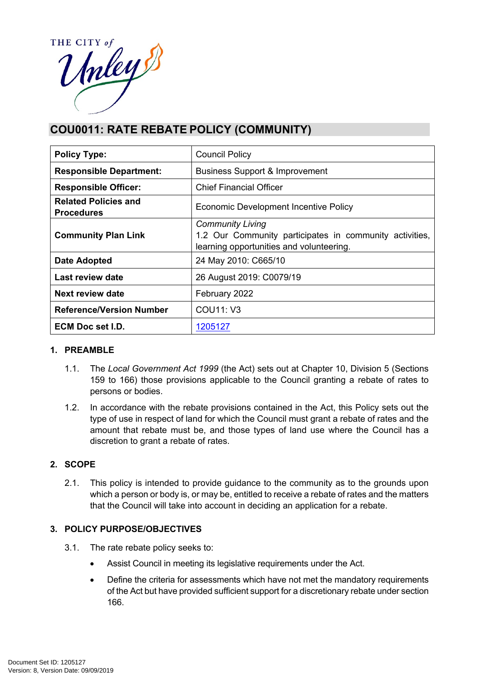

# **COU0011: RATE REBATE POLICY (COMMUNITY)**

| <b>Policy Type:</b>                              | <b>Council Policy</b>                                                                                                          |  |
|--------------------------------------------------|--------------------------------------------------------------------------------------------------------------------------------|--|
| <b>Responsible Department:</b>                   | <b>Business Support &amp; Improvement</b>                                                                                      |  |
| <b>Responsible Officer:</b>                      | <b>Chief Financial Officer</b>                                                                                                 |  |
| <b>Related Policies and</b><br><b>Procedures</b> | Economic Development Incentive Policy                                                                                          |  |
| <b>Community Plan Link</b>                       | <b>Community Living</b><br>1.2 Our Community participates in community activities,<br>learning opportunities and volunteering. |  |
| <b>Date Adopted</b>                              | 24 May 2010: C665/10                                                                                                           |  |
| Last review date                                 | 26 August 2019: C0079/19                                                                                                       |  |
| Next review date                                 | February 2022                                                                                                                  |  |
| <b>Reference/Version Number</b>                  | COU11: V3                                                                                                                      |  |
| ECM Doc set I.D.                                 | 1205127                                                                                                                        |  |

# **1. PREAMBLE**

- 1.1. The *Local Government Act 1999* (the Act) sets out at Chapter 10, Division 5 (Sections 159 to 166) those provisions applicable to the Council granting a rebate of rates to persons or bodies.
- 1.2. In accordance with the rebate provisions contained in the Act, this Policy sets out the type of use in respect of land for which the Council must grant a rebate of rates and the amount that rebate must be, and those types of land use where the Council has a discretion to grant a rebate of rates.

# **2. SCOPE**

2.1. This policy is intended to provide guidance to the community as to the grounds upon which a person or body is, or may be, entitled to receive a rebate of rates and the matters that the Council will take into account in deciding an application for a rebate.

# **3. POLICY PURPOSE/OBJECTIVES**

- 3.1. The rate rebate policy seeks to:
	- Assist Council in meeting its legislative requirements under the Act.
	- Define the criteria for assessments which have not met the mandatory requirements of the Act but have provided sufficient support for a discretionary rebate under section 166.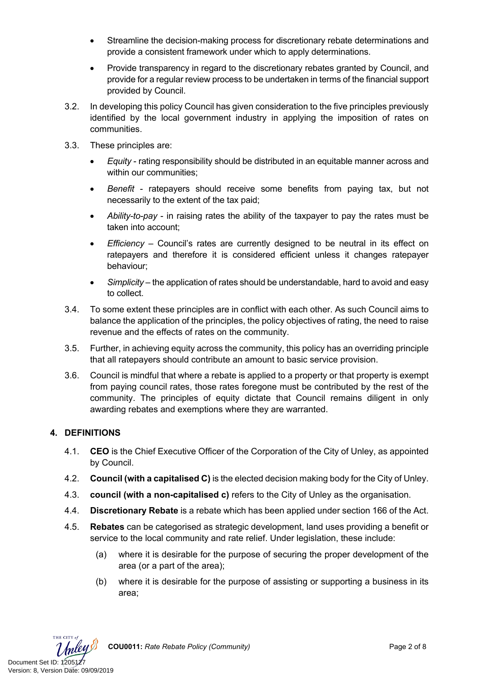- Streamline the decision-making process for discretionary rebate determinations and provide a consistent framework under which to apply determinations.
- Provide transparency in regard to the discretionary rebates granted by Council, and provide for a regular review process to be undertaken in terms of the financial support provided by Council.
- 3.2. In developing this policy Council has given consideration to the five principles previously identified by the local government industry in applying the imposition of rates on communities.
- 3.3. These principles are:
	- *Equity* rating responsibility should be distributed in an equitable manner across and within our communities:
	- *Benefit* ratepayers should receive some benefits from paying tax, but not necessarily to the extent of the tax paid;
	- *Ability-to-pay*  in raising rates the ability of the taxpayer to pay the rates must be taken into account;
	- *Efficiency* Council's rates are currently designed to be neutral in its effect on ratepayers and therefore it is considered efficient unless it changes ratepayer behaviour;
	- *Simplicity* the application of rates should be understandable, hard to avoid and easy to collect.
- 3.4. To some extent these principles are in conflict with each other. As such Council aims to balance the application of the principles, the policy objectives of rating, the need to raise revenue and the effects of rates on the community.
- 3.5. Further, in achieving equity across the community, this policy has an overriding principle that all ratepayers should contribute an amount to basic service provision.
- 3.6. Council is mindful that where a rebate is applied to a property or that property is exempt from paying council rates, those rates foregone must be contributed by the rest of the community. The principles of equity dictate that Council remains diligent in only awarding rebates and exemptions where they are warranted.

# **4. DEFINITIONS**

- 4.1. **CEO** is the Chief Executive Officer of the Corporation of the City of Unley, as appointed by Council.
- 4.2. **Council (with a capitalised C)** is the elected decision making body for the City of Unley.
- 4.3. **council (with a non-capitalised c)** refers to the City of Unley as the organisation.
- 4.4. **Discretionary Rebate** is a rebate which has been applied under section 166 of the Act.
- 4.5. **Rebates** can be categorised as strategic development, land uses providing a benefit or service to the local community and rate relief. Under legislation, these include:
	- (a) where it is desirable for the purpose of securing the proper development of the area (or a part of the area);
	- (b) where it is desirable for the purpose of assisting or supporting a business in its area;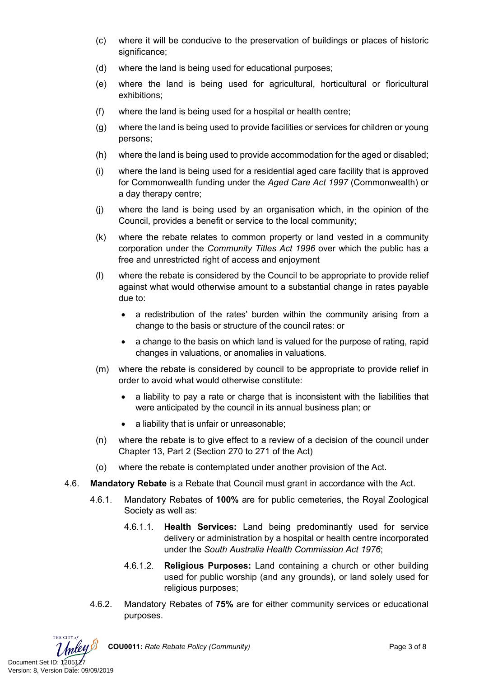- (c) where it will be conducive to the preservation of buildings or places of historic significance;
- (d) where the land is being used for educational purposes;
- (e) where the land is being used for agricultural, horticultural or floricultural exhibitions;
- (f) where the land is being used for a hospital or health centre;
- (g) where the land is being used to provide facilities or services for children or young persons;
- (h) where the land is being used to provide accommodation for the aged or disabled;
- (i) where the land is being used for a residential aged care facility that is approved for Commonwealth funding under the *Aged Care Act 1997* (Commonwealth) or a day therapy centre;
- (j) where the land is being used by an organisation which, in the opinion of the Council, provides a benefit or service to the local community;
- (k) where the rebate relates to common property or land vested in a community corporation under the *Community Titles Act 1996* over which the public has a free and unrestricted right of access and enjoyment
- (l) where the rebate is considered by the Council to be appropriate to provide relief against what would otherwise amount to a substantial change in rates payable due to:
	- a redistribution of the rates' burden within the community arising from a change to the basis or structure of the council rates: or
	- a change to the basis on which land is valued for the purpose of rating, rapid changes in valuations, or anomalies in valuations.
- (m) where the rebate is considered by council to be appropriate to provide relief in order to avoid what would otherwise constitute:
	- a liability to pay a rate or charge that is inconsistent with the liabilities that were anticipated by the council in its annual business plan; or
	- a liability that is unfair or unreasonable;
- (n) where the rebate is to give effect to a review of a decision of the council under Chapter 13, Part 2 (Section 270 to 271 of the Act)
- (o) where the rebate is contemplated under another provision of the Act.
- 4.6. **Mandatory Rebate** is a Rebate that Council must grant in accordance with the Act.
	- 4.6.1. Mandatory Rebates of **100%** are for public cemeteries, the Royal Zoological Society as well as:
		- 4.6.1.1. **Health Services:** Land being predominantly used for service delivery or administration by a hospital or health centre incorporated under the *South Australia Health Commission Act 1976*;
		- 4.6.1.2. **Religious Purposes:** Land containing a church or other building used for public worship (and any grounds), or land solely used for religious purposes;
	- 4.6.2. Mandatory Rebates of **75%** are for either community services or educational purposes.

THE CITY at Document Set ID: 1205127<br>Version: 8, Version Date: 09/09/2019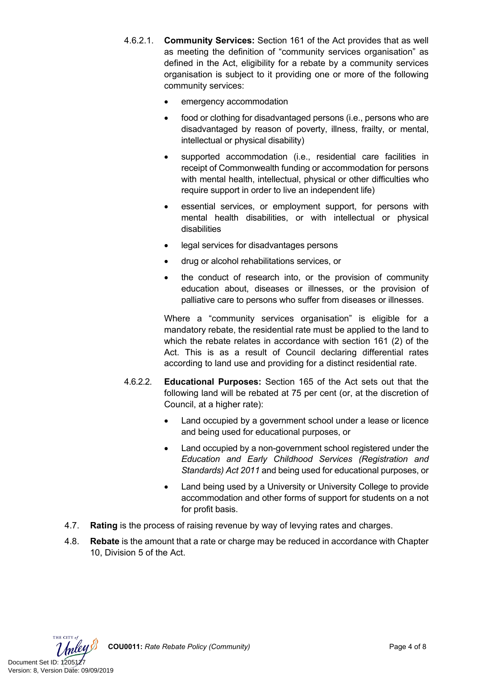- 4.6.2.1. **Community Services:** Section 161 of the Act provides that as well as meeting the definition of "community services organisation" as defined in the Act, eligibility for a rebate by a community services organisation is subject to it providing one or more of the following community services:
	- emergency accommodation
	- food or clothing for disadvantaged persons (i.e., persons who are disadvantaged by reason of poverty, illness, frailty, or mental, intellectual or physical disability)
	- supported accommodation (i.e., residential care facilities in receipt of Commonwealth funding or accommodation for persons with mental health, intellectual, physical or other difficulties who require support in order to live an independent life)
	- essential services, or employment support, for persons with mental health disabilities, or with intellectual or physical disabilities
	- legal services for disadvantages persons
	- drug or alcohol rehabilitations services, or
	- the conduct of research into, or the provision of community education about, diseases or illnesses, or the provision of palliative care to persons who suffer from diseases or illnesses.

Where a "community services organisation" is eligible for a mandatory rebate, the residential rate must be applied to the land to which the rebate relates in accordance with section 161 (2) of the Act. This is as a result of Council declaring differential rates according to land use and providing for a distinct residential rate.

- 4.6.2.2. **Educational Purposes:** Section 165 of the Act sets out that the following land will be rebated at 75 per cent (or, at the discretion of Council, at a higher rate):
	- Land occupied by a government school under a lease or licence and being used for educational purposes, or
	- Land occupied by a non-government school registered under the *Education and Early Childhood Services (Registration and Standards) Act 2011* and being used for educational purposes, or
	- Land being used by a University or University College to provide accommodation and other forms of support for students on a not for profit basis.
- 4.7. **Rating** is the process of raising revenue by way of levying rates and charges.
- 4.8. **Rebate** is the amount that a rate or charge may be reduced in accordance with Chapter 10, Division 5 of the Act.

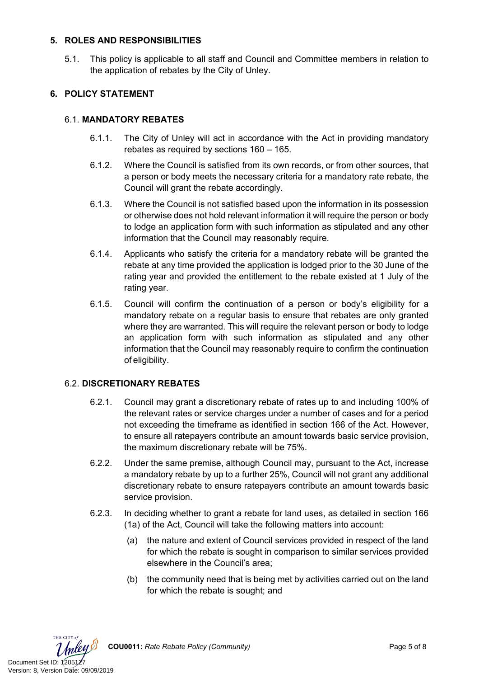### **5. ROLES AND RESPONSIBILITIES**

5.1. This policy is applicable to all staff and Council and Committee members in relation to the application of rebates by the City of Unley.

# **6. POLICY STATEMENT**

### 6.1. **MANDATORY REBATES**

- 6.1.1. The City of Unley will act in accordance with the Act in providing mandatory rebates as required by sections 160 – 165.
- 6.1.2. Where the Council is satisfied from its own records, or from other sources, that a person or body meets the necessary criteria for a mandatory rate rebate, the Council will grant the rebate accordingly.
- 6.1.3. Where the Council is not satisfied based upon the information in its possession or otherwise does not hold relevant information it will require the person or body to lodge an application form with such information as stipulated and any other information that the Council may reasonably require.
- 6.1.4. Applicants who satisfy the criteria for a mandatory rebate will be granted the rebate at any time provided the application is lodged prior to the 30 June of the rating year and provided the entitlement to the rebate existed at 1 July of the rating year.
- 6.1.5. Council will confirm the continuation of a person or body's eligibility for a mandatory rebate on a regular basis to ensure that rebates are only granted where they are warranted. This will require the relevant person or body to lodge an application form with such information as stipulated and any other information that the Council may reasonably require to confirm the continuation of eligibility.

# 6.2. **DISCRETIONARY REBATES**

- 6.2.1. Council may grant a discretionary rebate of rates up to and including 100% of the relevant rates or service charges under a number of cases and for a period not exceeding the timeframe as identified in section 166 of the Act. However, to ensure all ratepayers contribute an amount towards basic service provision, the maximum discretionary rebate will be 75%.
- 6.2.2. Under the same premise, although Council may, pursuant to the Act, increase a mandatory rebate by up to a further 25%, Council will not grant any additional discretionary rebate to ensure ratepayers contribute an amount towards basic service provision.
- 6.2.3. In deciding whether to grant a rebate for land uses, as detailed in section 166 (1a) of the Act, Council will take the following matters into account:
	- (a) the nature and extent of Council services provided in respect of the land for which the rebate is sought in comparison to similar services provided elsewhere in the Council's area;
	- (b) the community need that is being met by activities carried out on the land for which the rebate is sought; and



**COU0011:** *Rate Rebate Policy (Community)* Page 5 of 8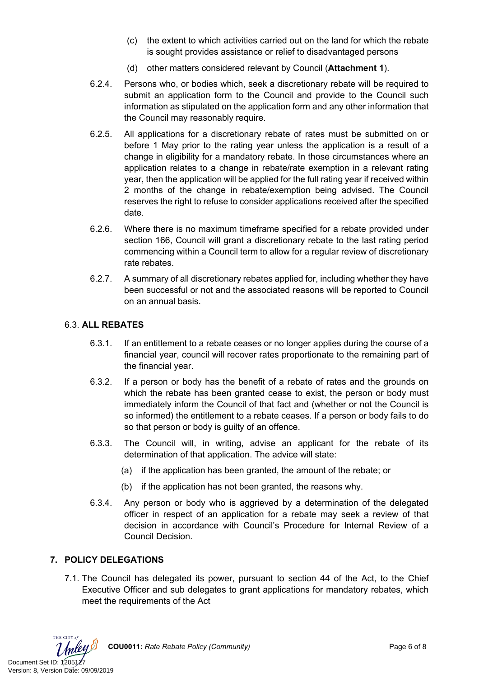- (c) the extent to which activities carried out on the land for which the rebate is sought provides assistance or relief to disadvantaged persons
- (d) other matters considered relevant by Council (**Attachment 1**).
- 6.2.4. Persons who, or bodies which, seek a discretionary rebate will be required to submit an application form to the Council and provide to the Council such information as stipulated on the application form and any other information that the Council may reasonably require.
- 6.2.5. All applications for a discretionary rebate of rates must be submitted on or before 1 May prior to the rating year unless the application is a result of a change in eligibility for a mandatory rebate. In those circumstances where an application relates to a change in rebate/rate exemption in a relevant rating year, then the application will be applied for the full rating year if received within 2 months of the change in rebate/exemption being advised. The Council reserves the right to refuse to consider applications received after the specified date.
- 6.2.6. Where there is no maximum timeframe specified for a rebate provided under section 166, Council will grant a discretionary rebate to the last rating period commencing within a Council term to allow for a regular review of discretionary rate rebates.
- 6.2.7. A summary of all discretionary rebates applied for, including whether they have been successful or not and the associated reasons will be reported to Council on an annual basis.

#### 6.3. **ALL REBATES**

- 6.3.1. If an entitlement to a rebate ceases or no longer applies during the course of a financial year, council will recover rates proportionate to the remaining part of the financial year.
- 6.3.2. If a person or body has the benefit of a rebate of rates and the grounds on which the rebate has been granted cease to exist, the person or body must immediately inform the Council of that fact and (whether or not the Council is so informed) the entitlement to a rebate ceases. If a person or body fails to do so that person or body is guilty of an offence.
- 6.3.3. The Council will, in writing, advise an applicant for the rebate of its determination of that application. The advice will state:
	- (a) if the application has been granted, the amount of the rebate; or
	- (b) if the application has not been granted, the reasons why.
- 6.3.4. Any person or body who is aggrieved by a determination of the delegated officer in respect of an application for a rebate may seek a review of that decision in accordance with Council's Procedure for Internal Review of a Council Decision.

# **7. POLICY DELEGATIONS**

7.1. The Council has delegated its power, pursuant to section 44 of the Act, to the Chief Executive Officer and sub delegates to grant applications for mandatory rebates, which meet the requirements of the Act

THE CITY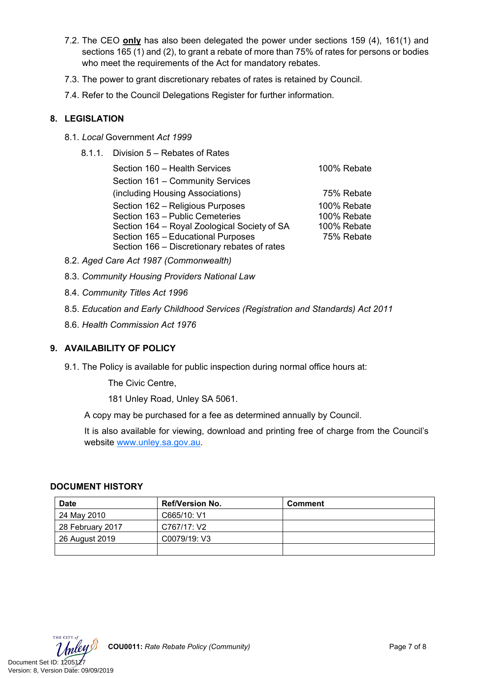- 7.2. The CEO **only** has also been delegated the power under sections 159 (4), 161(1) and sections 165 (1) and (2), to grant a rebate of more than 75% of rates for persons or bodies who meet the requirements of the Act for mandatory rebates.
- 7.3. The power to grant discretionary rebates of rates is retained by Council.
- 7.4. Refer to the Council Delegations Register for further information.

### **8. LEGISLATION**

- 8.1. *Local* Government *Act 1999*
	- 8.1.1. Division 5 Rebates of Rates

| Section 160 - Health Services                | 100% Rebate |
|----------------------------------------------|-------------|
| Section 161 - Community Services             |             |
| (including Housing Associations)             | 75% Rebate  |
| Section 162 - Religious Purposes             | 100% Rebate |
| Section 163 - Public Cemeteries              | 100% Rebate |
| Section 164 - Royal Zoological Society of SA | 100% Rebate |
| Section 165 - Educational Purposes           | 75% Rebate  |
| Section 166 - Discretionary rebates of rates |             |

- 8.2. *Aged Care Act 1987 (Commonwealth)*
- 8.3. *Community Housing Providers National Law*
- 8.4. *Community Titles Act 1996*
- 8.5. *Education and Early Childhood Services (Registration and Standards) Act 2011*
- 8.6. *Health Commission Act 1976*

# **9. AVAILABILITY OF POLICY**

9.1. The Policy is available for public inspection during normal office hours at:

The Civic Centre,

181 Unley Road, Unley SA 5061.

A copy may be purchased for a fee as determined annually by Council.

It is also available for viewing, download and printing free of charge from the Council's website [www.unley.sa.gov.au](file:///C:/Users/dvonwald/AppData/Local/Microsoft/Windows/INetCache/Content.Outlook/3K0LT0PM/www.unley.sa.gov.au).

#### **DOCUMENT HISTORY**

| <b>Date</b>      | <b>Ref/Version No.</b> | <b>Comment</b> |
|------------------|------------------------|----------------|
| 24 May 2010      | C665/10: V1            |                |
| 28 February 2017 | C767/17: V2            |                |
| 26 August 2019   | C0079/19: V3           |                |
|                  |                        |                |